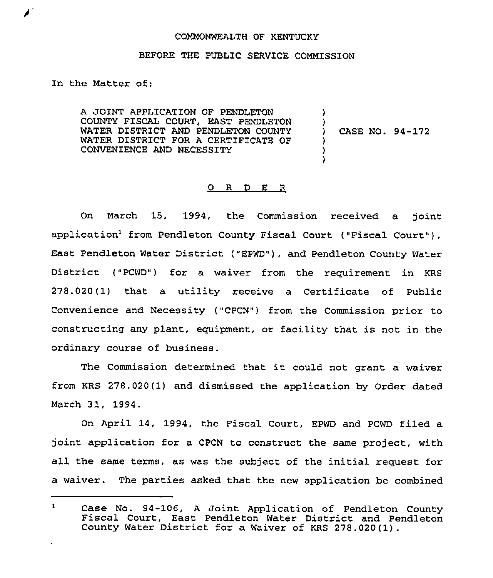## COMMONWEALTH OF KENTUCKY

## BEFORE THE PUBLIC SERVICE COMMISSION

In the Matter of:

◢

A JOINT APPLICATION OF PENDLETON COUNTY FISCAL COURT, EAST PENDLETON WATER DISTRICT AND PENDLETON COUNTY WATER DISTRICT FOR A CERTIFICATE OF CONVENIENCE AND NECESSITY

) CASE NO. 94-172

)  $\big\}$ 

)<br>)

## O R D E R

On March 15, 1994, the Commission received a joint application<sup>1</sup> from Pendleton County Fiscal Court ("Fiscal Court"), East Pendleton Water District ("EPWD"), and Pendleton County Water District ("PCWD") for a waiver from the requirement in KRS 278.020(1) that a utility receive a Certificate of Public Convenience and Necessity ("CPCN") from the Commission prior to constructing any plant, equipment, or facility that is not in the ordinary course of business.

The Commission determined that it could not grant <sup>a</sup> waiver from KRS 278.020(1) and dismissed the application by Order dated March 31, 1994.

On April 14, 1994, the Fiscal Court, EPWD and PCWD filed a joint application for a CPCN to construct the same project, with all the same terms, as was the subject of the initial request for a waiver. The parties asked that the new application be combined

 $\mathbf{1}$ Case No. 94-106, <sup>A</sup> Joint Application of Pendleton County Fiscal Court, East Pendleton Water District and Pendleton County Water District for a Waiver of KRS 278.020(1).